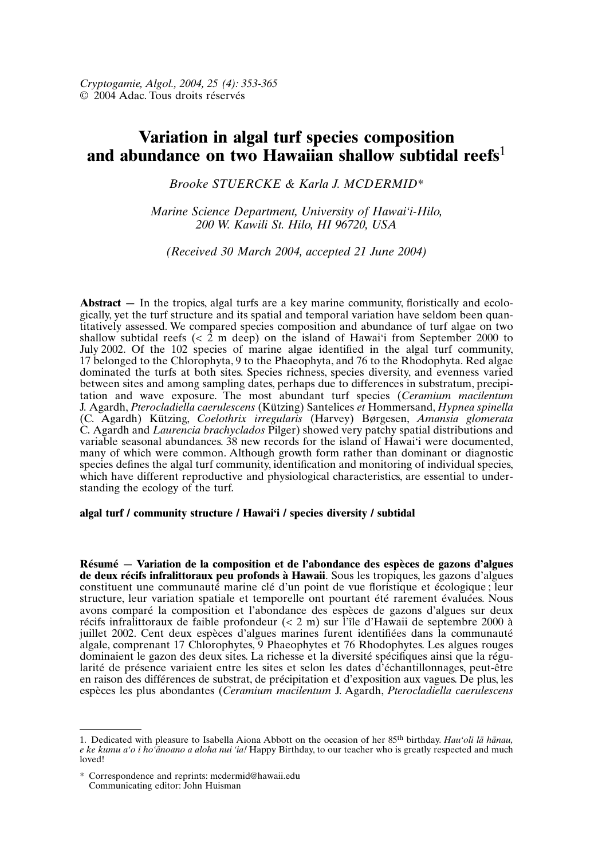# **Variation in algal turf species composition and abundance on two Hawaiian shallow subtidal reefs**<sup>1</sup>

*Brooke STUERCKE & Karla J. MCDERMID*\*

*Marine Science Department, University of Hawai'i-Hilo, 200 W. Kawili St. Hilo, HI 96720, USA*

*(Received 30 March 2004, accepted 21 June 2004)*

**Abstract** — In the tropics, algal turfs are a key marine community, floristically and ecologically, yet the turf structure and its spatial and temporal variation have seldom been quantitatively assessed. We compared species composition and abundance of turf algae on two shallow subtidal reefs ( $\lt 2$  m deep) on the island of Hawai'i from September 2000 to July 2002. Of the 102 species of marine algae identified in the algal turf community, 17 belonged to the Chlorophyta, 9 to the Phaeophyta, and 76 to the Rhodophyta. Red algae dominated the turfs at both sites. Species richness, species diversity, and evenness varied between sites and among sampling dates, perhaps due to differences in substratum, precipitation and wave exposure. The most abundant turf species (*Ceramium macilentum* J. Agardh, *Pterocladiella caerulescens* (Kützing) Santelices *et* Hommersand, *Hypnea spinella* (C. Agardh) Kützing, *Coelothrix irregularis* (Harvey) Børgesen, *Amansia glomerata* C. Agardh and *Laurencia brachyclados* Pilger) showed very patchy spatial distributions and variable seasonal abundances. 38 new records for the island of Hawai'i were documented, many of which were common. Although growth form rather than dominant or diagnostic species defines the algal turf community, identification and monitoring of individual species, which have different reproductive and physiological characteristics, are essential to understanding the ecology of the turf.

## **algal turf / community structure / Hawai'i / species diversity / subtidal**

**Résumé — Variation de la composition et de l'abondance des espèces de gazons d'algues de deux récifs infralittoraux peu profonds à Hawaii**. Sous les tropiques, les gazons d'algues constituent une communauté marine clé d'un point de vue floristique et écologique ; leur structure, leur variation spatiale et temporelle ont pourtant été rarement évaluées. Nous avons comparé la composition et l'abondance des espèces de gazons d'algues sur deux récifs infralittoraux de faible profondeur (< 2 m) sur l'île d'Hawaii de septembre 2000 à juillet 2002. Cent deux espèces d'algues marines furent identifiées dans la communauté algale, comprenant 17 Chlorophytes, 9 Phaeophytes et 76 Rhodophytes. Les algues rouges dominaient le gazon des deux sites. La richesse et la diversité spécifiques ainsi que la régularité de présence variaient entre les sites et selon les dates d'échantillonnages, peut-être en raison des différences de substrat, de précipitation et d'exposition aux vagues. De plus, les espèces les plus abondantes (*Ceramium macilentum* J. Agardh, *Pterocladiella caerulescens*

<sup>1.</sup> Dedicated with pleasure to Isabella Aiona Abbott on the occasion of her 85th birthday. *Hau'oli lā hānau, e ke kumu a'o i ho'ānoano a aloha nui 'ia!* Happy Birthday, to our teacher who is greatly respected and much loved!

<sup>\*</sup> Correspondence and reprints: mcdermid@hawaii.edu Communicating editor: John Huisman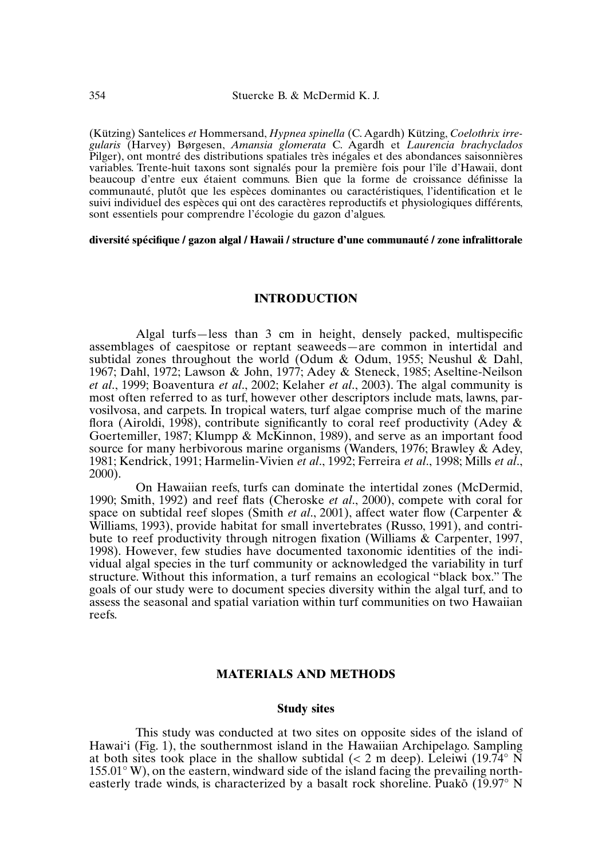(Kützing) Santelices *et* Hommersand, *Hypnea spinella* (C. Agardh) Kützing, *Coelothrix irregularis* (Harvey) Børgesen, *Amansia glomerata* C. Agardh et *Laurencia brachyclados* Pilger), ont montré des distributions spatiales très inégales et des abondances saisonnières variables. Trente-huit taxons sont signalés pour la première fois pour l'île d'Hawaii, dont beaucoup d'entre eux étaient communs. Bien que la forme de croissance définisse la communauté, plutôt que les espèces dominantes ou caractéristiques, l'identification et le suivi individuel des espèces qui ont des caractères reproductifs et physiologiques différents, sont essentiels pour comprendre l'écologie du gazon d'algues.

#### **diversité spécifique / gazon algal / Hawaii / structure d'une communauté / zone infralittorale**

## **INTRODUCTION**

Algal turfs—less than 3 cm in height, densely packed, multispecific assemblages of caespitose or reptant seaweeds—are common in intertidal and subtidal zones throughout the world (Odum & Odum, 1955; Neushul & Dahl, 1967; Dahl, 1972; Lawson & John, 1977; Adey & Steneck, 1985; Aseltine-Neilson *et al*., 1999; Boaventura *et al*., 2002; Kelaher *et al*., 2003). The algal community is most often referred to as turf, however other descriptors include mats, lawns, parvosilvosa, and carpets. In tropical waters, turf algae comprise much of the marine flora (Airoldi, 1998), contribute significantly to coral reef productivity (Adey  $\&$ Goertemiller, 1987; Klumpp & McKinnon, 1989), and serve as an important food source for many herbivorous marine organisms (Wanders, 1976; Brawley & Adey, 1981; Kendrick, 1991; Harmelin-Vivien *et al*., 1992; Ferreira *et al*., 1998; Mills *et al*., 2000).

On Hawaiian reefs, turfs can dominate the intertidal zones (McDermid, 1990; Smith, 1992) and reef flats (Cheroske *et al*., 2000), compete with coral for space on subtidal reef slopes (Smith *et al*., 2001), affect water flow (Carpenter & Williams, 1993), provide habitat for small invertebrates (Russo, 1991), and contribute to reef productivity through nitrogen fixation (Williams & Carpenter, 1997, 1998). However, few studies have documented taxonomic identities of the individual algal species in the turf community or acknowledged the variability in turf structure. Without this information, a turf remains an ecological "black box." The goals of our study were to document species diversity within the algal turf, and to assess the seasonal and spatial variation within turf communities on two Hawaiian reefs.

## **MATERIALS AND METHODS**

#### **Study sites**

This study was conducted at two sites on opposite sides of the island of Hawai'i (Fig. 1), the southernmost island in the Hawaiian Archipelago. Sampling at both sites took place in the shallow subtidal ( $\lt 2$  m deep). Leleiwi (19.74 $\degree$  N 155.01° W), on the eastern, windward side of the island facing the prevailing north- $\mu$ , on the casterity, which was stated by a basalt rock shoreline. Puako (19.97 $\degree$  N and the winds, is characterized by a basalt rock shoreline. Puako (19.97 $\degree$  N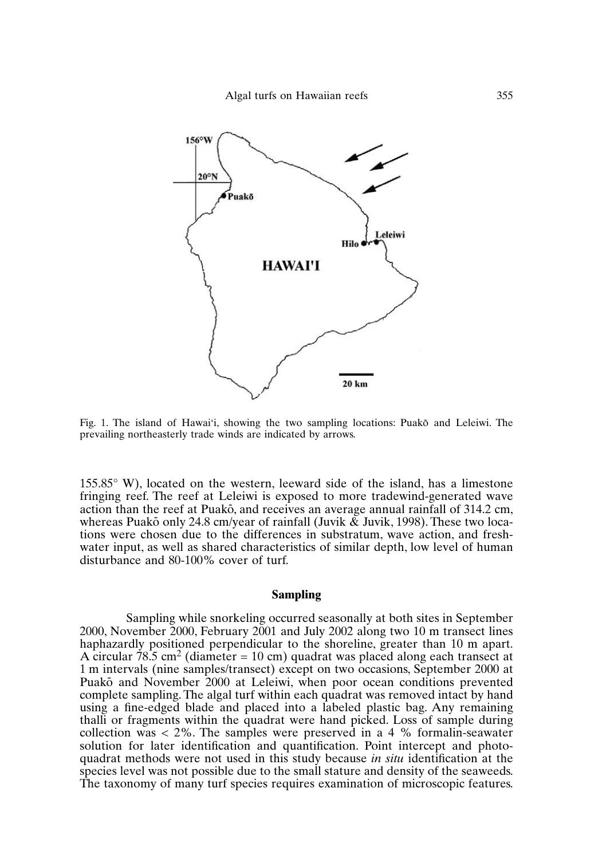

Fig. 1. The island of Hawai'i, showing the two sampling locations: Puakō and Leleiwi. The prevailing northeasterly trade winds are indicated by arrows.

155.85° W), located on the western, leeward side of the island, has a limestone fringing reef. The reef at Leleiwi is exposed to more tradewind-generated wave action than the reef at Puakō, and receives an average annual rainfall of 314.2 cm, whereas Puakō only 24.8 cm/year of rainfall (Juvik & Juvik, 1998). These two locations were chosen due to the differences in substratum, wave action, and freshwater input, as well as shared characteristics of similar depth, low level of human disturbance and 80-100% cover of turf.

#### **Sampling**

Sampling while snorkeling occurred seasonally at both sites in September 2000, November 2000, February 2001 and July 2002 along two 10 m transect lines haphazardly positioned perpendicular to the shoreline, greater than 10 m apart. A circular 78.5 cm<sup>2</sup> (diameter = 10 cm) quadrat was placed along each transect at 1 m intervals (nine samples/transect) except on two occasions, September 2000 at Puakō and November 2000 at Leleiwi, when poor ocean conditions prevented complete sampling. The algal turf within each quadrat was removed intact by hand using a fine-edged blade and placed into a labeled plastic bag. Any remaining thalli or fragments within the quadrat were hand picked. Loss of sample during collection was  $<$  2%. The samples were preserved in a 4 % formalin-seawater solution for later identification and quantification. Point intercept and photoquadrat methods were not used in this study because *in situ* identification at the species level was not possible due to the small stature and density of the seaweeds. The taxonomy of many turf species requires examination of microscopic features.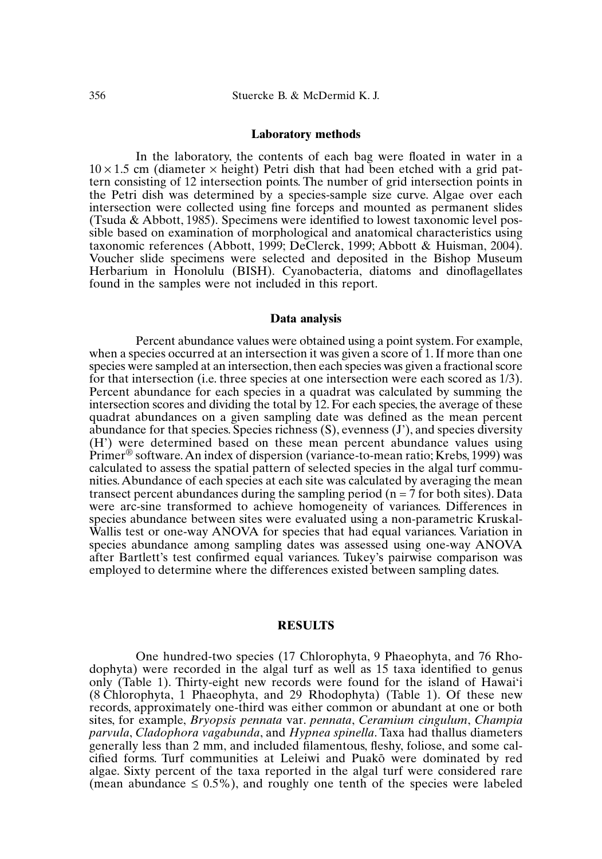#### **Laboratory methods**

In the laboratory, the contents of each bag were floated in water in a  $10 \times 1.5$  cm (diameter  $\times$  height) Petri dish that had been etched with a grid pattern consisting of 12 intersection points. The number of grid intersection points in the Petri dish was determined by a species-sample size curve. Algae over each intersection were collected using fine forceps and mounted as permanent slides (Tsuda & Abbott, 1985). Specimens were identified to lowest taxonomic level possible based on examination of morphological and anatomical characteristics using taxonomic references (Abbott, 1999; DeClerck, 1999; Abbott & Huisman, 2004). Voucher slide specimens were selected and deposited in the Bishop Museum Herbarium in Honolulu (BISH). Cyanobacteria, diatoms and dinoflagellates found in the samples were not included in this report.

#### **Data analysis**

Percent abundance values were obtained using a point system. For example, when a species occurred at an intersection it was given a score of 1. If more than one species were sampled at an intersection, then each species was given a fractional score for that intersection (i.e. three species at one intersection were each scored as 1/3). Percent abundance for each species in a quadrat was calculated by summing the intersection scores and dividing the total by 12. For each species, the average of these quadrat abundances on a given sampling date was defined as the mean percent abundance for that species. Species richness (S), evenness (J'), and species diversity (H') were determined based on these mean percent abundance values using Primer® software.An index of dispersion (variance-to-mean ratio; Krebs, 1999) was calculated to assess the spatial pattern of selected species in the algal turf communities.Abundance of each species at each site was calculated by averaging the mean transect percent abundances during the sampling period ( $n = 7$  for both sites). Data were arc-sine transformed to achieve homogeneity of variances. Differences in species abundance between sites were evaluated using a non-parametric Kruskal-Wallis test or one-way ANOVA for species that had equal variances. Variation in species abundance among sampling dates was assessed using one-way ANOVA after Bartlett's test confirmed equal variances. Tukey's pairwise comparison was employed to determine where the differences existed between sampling dates.

### **RESULTS**

One hundred-two species (17 Chlorophyta, 9 Phaeophyta, and 76 Rhodophyta) were recorded in the algal turf as well as 15 taxa identified to genus only (Table 1). Thirty-eight new records were found for the island of Hawai'i (8 Chlorophyta, 1 Phaeophyta, and 29 Rhodophyta) (Table 1). Of these new records, approximately one-third was either common or abundant at one or both sites, for example, *Bryopsis pennata* var. *pennata*, *Ceramium cingulum*, *Champia parvula*, *Cladophora vagabunda*, and *Hypnea spinella*. Taxa had thallus diameters generally less than 2 mm, and included filamentous, fleshy, foliose, and some caleified forms. Turf communities at Leleiwi and Puakō were dominated by red algae. Sixty percent of the taxa reported in the algal turf were considered rare (mean abundance  $\leq 0.5\%$ ), and roughly one tenth of the species were labeled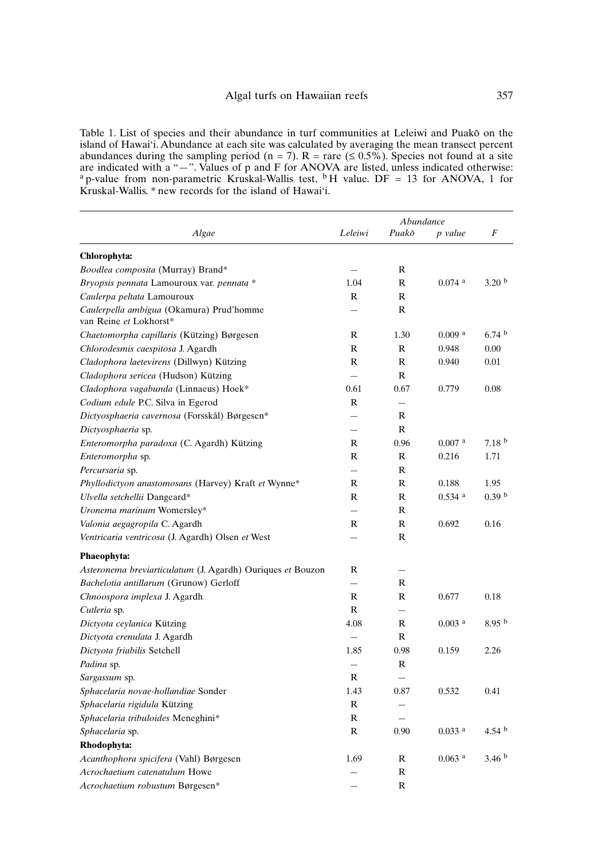Table 1. List of species and their abundance in turf communities at Leleiwi and Puakō on the island of Hawai'i. Abundance at each site was calculated by averaging the mean transect percent abundances during the sampling period (n = 7).  $R =$  rare ( $\leq$  0.5%). Species not found at a site are indicated with a "—". Values of p and F for ANOVA are listed, unless indicated otherwise: <sup>a</sup> p-value from non-parametric Kruskal-Wallis test, <sup>b</sup> H value. DF = 13 for ANOVA, 1 for Kruskal-Wallis. \* new records for the island of Hawai'i.

|                                                                    | Abundance                |                          |                      |                   |
|--------------------------------------------------------------------|--------------------------|--------------------------|----------------------|-------------------|
| Algae                                                              | Leleiwi                  | Puakō                    | p value              | F                 |
| Chlorophyta:                                                       |                          |                          |                      |                   |
| Boodlea composita (Murray) Brand*                                  |                          | R                        |                      |                   |
| Bryopsis pennata Lamouroux var. pennata *                          | 1.04                     | R                        | $0.074$ <sup>a</sup> | 3.20 <sup>b</sup> |
| Caulerpa peltata Lamouroux                                         | $\mathbb{R}$             | $\mathbb{R}$             |                      |                   |
| Caulerpella ambigua (Okamura) Prud'homme<br>van Reine et Lokhorst* |                          | $\mathbb{R}$             |                      |                   |
| Chaetomorpha capillaris (Kützing) Børgesen                         | R                        | 1.30                     | 0.009 <sup>a</sup>   | 6.74 <sup>b</sup> |
| Chlorodesmis caespitosa J. Agardh                                  | $\mathbb{R}$             | $\mathbb{R}$             | 0.948                | 0.00              |
| Cladophora laetevirens (Dillwyn) Kützing                           | $\mathbb{R}$             | $\mathbb{R}$             | 0.940                | 0.01              |
| Cladophora sericea (Hudson) Kützing                                | $\overline{\phantom{a}}$ | $\mathbb{R}$             |                      |                   |
| Cladophora vagabunda (Linnaeus) Hoek*                              | 0.61                     | 0.67                     | 0.779                | 0.08              |
| Codium edule P.C. Silva in Egerod                                  | R                        | $\overline{\phantom{m}}$ |                      |                   |
| Dictyosphaeria cavernosa (Forsskål) Børgesen*                      | $\overline{\phantom{0}}$ | $\mathbb{R}$             |                      |                   |
| Dictyosphaeria sp.                                                 | $\overline{\phantom{0}}$ | $\mathbb{R}$             |                      |                   |
| Enteromorpha paradoxa (C. Agardh) Kützing                          | $\mathbb{R}$             | 0.96                     | $0.007$ <sup>a</sup> | 7.18 <sup>b</sup> |
| Enteromorpha sp.                                                   | R                        | R                        | 0.216                | 1.71              |
| Percursaria sp.                                                    |                          | R                        |                      |                   |
| <i>Phyllodictyon anastomosans</i> (Harvey) Kraft et Wynne*         | $\mathsf{R}$             | R                        | 0.188                | 1.95              |
| Ulvella setchellii Dangeard*                                       | $\mathbb{R}$             | $\mathbb{R}$             | $0.534$ <sup>a</sup> | 0.39 <sup>b</sup> |
| Uronema marinum Womersley*                                         | $\overline{\phantom{0}}$ | R                        |                      |                   |
| Valonia aegagropila C. Agardh                                      | $\mathsf{R}$             | $\mathbb{R}$             | 0.692                | 0.16              |
| Ventricaria ventricosa (J. Agardh) Olsen et West                   |                          | R                        |                      |                   |
| Phaeophyta:                                                        |                          |                          |                      |                   |
| Asteronema breviarticulatum (J. Agardh) Ouriques et Bouzon         | R                        | $\overline{\phantom{0}}$ |                      |                   |
| Bachelotia antillarum (Grunow) Gerloff                             |                          | R                        |                      |                   |
| Chnoospora implexa J. Agardh                                       | R                        | R                        | 0.677                | 0.18              |
| Cutleria sp.                                                       | R                        |                          |                      |                   |
| Dictyota ceylanica Kützing                                         | 4.08                     | $\mathbb{R}$             | $0.003$ <sup>a</sup> | 8.95 <sup>b</sup> |
| Dictyota crenulata J. Agardh                                       | $\overline{\phantom{0}}$ | R                        |                      |                   |
| Dictyota friabilis Setchell                                        | 1.85                     | 0.98                     | 0.159                | 2.26              |
| Padina sp.                                                         | $\overline{\phantom{0}}$ | R                        |                      |                   |
| Sargassum sp.                                                      | R                        |                          |                      |                   |
| Sphacelaria novae-hollandiae Sonder                                | 1.43                     | 0.87                     | 0.532                | 0.41              |
| Sphacelaria rigidula Kützing                                       | $\mathbb{R}$             | $\overline{\phantom{0}}$ |                      |                   |
| Sphacelaria tribuloides Meneghini*                                 | R                        |                          |                      |                   |
| Sphacelaria sp.                                                    | $\mathbb{R}$             | 0.90                     | $0.033$ <sup>a</sup> | 4.54 $^{\rm b}$   |
| Rhodophyta:                                                        |                          |                          |                      |                   |
| Acanthophora spicifera (Vahl) Børgesen                             | 1.69                     | R                        | $0.063$ <sup>a</sup> | 3.46 <sup>b</sup> |
| Acrochaetium catenatulum Howe                                      |                          | R                        |                      |                   |
| Acrochaetium robustum Børgesen*                                    |                          | $\mathbb{R}$             |                      |                   |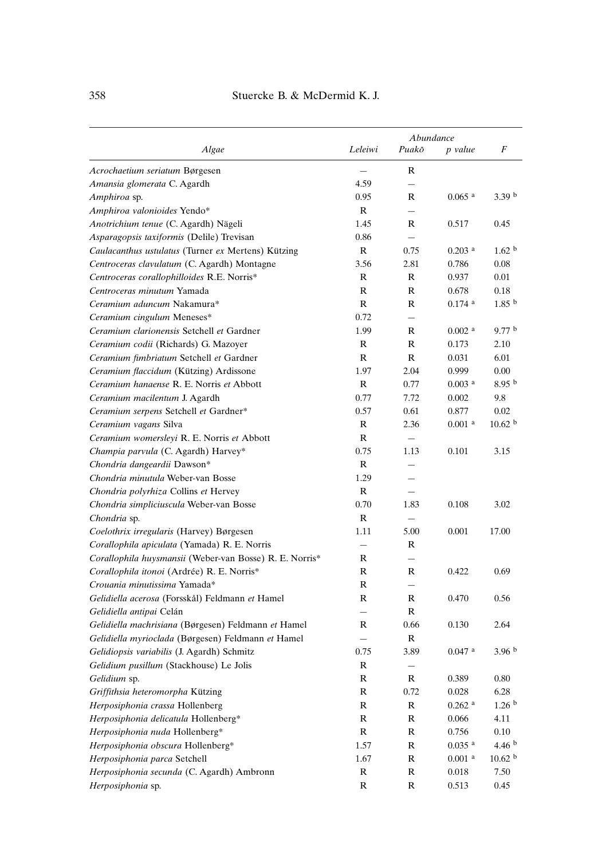|                                                         |              | Abundance                |                      |                    |
|---------------------------------------------------------|--------------|--------------------------|----------------------|--------------------|
| Algae                                                   | Leleiwi      | Puakō                    | p value              | F                  |
| Acrochaetium seriatum Børgesen                          |              | R                        |                      |                    |
| Amansia glomerata C. Agardh                             | 4.59         |                          |                      |                    |
| Amphiroa sp.                                            | 0.95         | R                        | $0.065$ <sup>a</sup> | 3.39 <sup>b</sup>  |
| Amphiroa valonioides Yendo*                             | $\mathbb{R}$ | $\qquad \qquad -$        |                      |                    |
| Anotrichium tenue (C. Agardh) Nägeli                    | 1.45         | R                        | 0.517                | 0.45               |
| Asparagopsis taxiformis (Delile) Trevisan               | 0.86         |                          |                      |                    |
| Caulacanthus ustulatus (Turner ex Mertens) Kützing      | R            | 0.75                     | $0.203$ <sup>a</sup> | 1.62 <sup>b</sup>  |
| Centroceras clavulatum (C. Agardh) Montagne             | 3.56         | 2.81                     | 0.786                | 0.08               |
| Centroceras corallophilloides R.E. Norris*              | R            | R                        | 0.937                | 0.01               |
| Centroceras minutum Yamada                              | R            | R                        | 0.678                | 0.18               |
| Ceramium aduncum Nakamura*                              | R            | R                        | $0.174$ <sup>a</sup> | 1.85 <sup>b</sup>  |
| Ceramium cingulum Meneses*                              | 0.72         | $\overline{\phantom{0}}$ |                      |                    |
| Ceramium clarionensis Setchell et Gardner               | 1.99         | R                        | $0.002$ <sup>a</sup> | 9.77 <sup>b</sup>  |
| Ceramium codii (Richards) G. Mazoyer                    | R            | $\mathbb{R}$             | 0.173                | 2.10               |
| Ceramium fimbriatum Setchell et Gardner                 | $\mathbb{R}$ | $\mathbb{R}$             | 0.031                | 6.01               |
| Ceramium flaccidum (Kützing) Ardissone                  | 1.97         | 2.04                     | 0.999                | 0.00               |
| Ceramium hanaense R. E. Norris et Abbott                | R            | 0.77                     | $0.003$ <sup>a</sup> | 8.95 <sup>b</sup>  |
| Ceramium macilentum J. Agardh                           | 0.77         | 7.72                     | 0.002                | 9.8                |
| Ceramium serpens Setchell et Gardner*                   | 0.57         | 0.61                     | 0.877                | 0.02               |
| Ceramium vagans Silva                                   | R            | 2.36                     | $0.001$ <sup>a</sup> | 10.62 <sup>b</sup> |
| Ceramium womersleyi R. E. Norris et Abbott              | R            | $=$                      |                      |                    |
| Champia parvula (C. Agardh) Harvey*                     | 0.75         | 1.13                     | 0.101                | 3.15               |
| Chondria dangeardii Dawson*                             | R            |                          |                      |                    |
| Chondria minutula Weber-van Bosse                       | 1.29         |                          |                      |                    |
| Chondria polyrhiza Collins et Hervey                    | R            |                          |                      |                    |
| Chondria simpliciuscula Weber-van Bosse                 | 0.70         | 1.83                     | 0.108                | 3.02               |
| Chondria sp.                                            | R            | $\overline{\phantom{0}}$ |                      |                    |
| Coelothrix irregularis (Harvey) Børgesen                | 1.11         | 5.00                     | 0.001                | 17.00              |
| Corallophila apiculata (Yamada) R. E. Norris            |              | R                        |                      |                    |
| Corallophila huysmansii (Weber-van Bosse) R. E. Norris* | R            |                          |                      |                    |
| Corallophila itonoi (Ardrée) R. E. Norris*              | $\mathbb{R}$ | R                        | 0.422                | 0.69               |
| Crouania minutissima Yamada*                            | $\mathbb{R}$ |                          |                      |                    |
| Gelidiella acerosa (Forsskål) Feldmann et Hamel         | R            | R                        | 0.470                | 0.56               |
| Gelidiella antipai Celán                                | $\equiv$     | R                        |                      |                    |
| Gelidiella machrisiana (Børgesen) Feldmann et Hamel     | R            | 0.66                     | 0.130                | 2.64               |
| Gelidiella myrioclada (Børgesen) Feldmann et Hamel      |              | R                        |                      |                    |
| Gelidiopsis variabilis (J. Agardh) Schmitz              | 0.75         | 3.89                     | $0.047$ <sup>a</sup> | 3.96 <sup>b</sup>  |
| Gelidium pusillum (Stackhouse) Le Jolis                 | $\mathbb R$  | $\overline{\phantom{0}}$ |                      |                    |
| Gelidium sp.                                            | R            | ${\bf R}$                | 0.389                | 0.80               |
| Griffithsia heteromorpha Kützing                        | R            | 0.72                     | 0.028                | 6.28               |
| Herposiphonia crassa Hollenberg                         | R            | R                        | $0.262$ <sup>a</sup> | 1.26 <sup>b</sup>  |
| Herposiphonia delicatula Hollenberg*                    | R            | R                        | 0.066                | 4.11               |
| Herposiphonia nuda Hollenberg*                          | $\mathbb{R}$ | ${\bf R}$                | 0.756                | 0.10               |
| Herposiphonia obscura Hollenberg*                       | 1.57         | ${\bf R}$                | $0.035~^{\rm a}$     | 4.46 <sup>b</sup>  |
| Herposiphonia parca Setchell                            | 1.67         | ${\bf R}$                | $0.001$ $^{\rm a}$   | 10.62 <sup>b</sup> |
| Herposiphonia secunda (C. Agardh) Ambronn               | $\mathbb{R}$ | ${\bf R}$                | 0.018                | 7.50               |
| Herposiphonia sp.                                       | R            | R                        | 0.513                | 0.45               |
|                                                         |              |                          |                      |                    |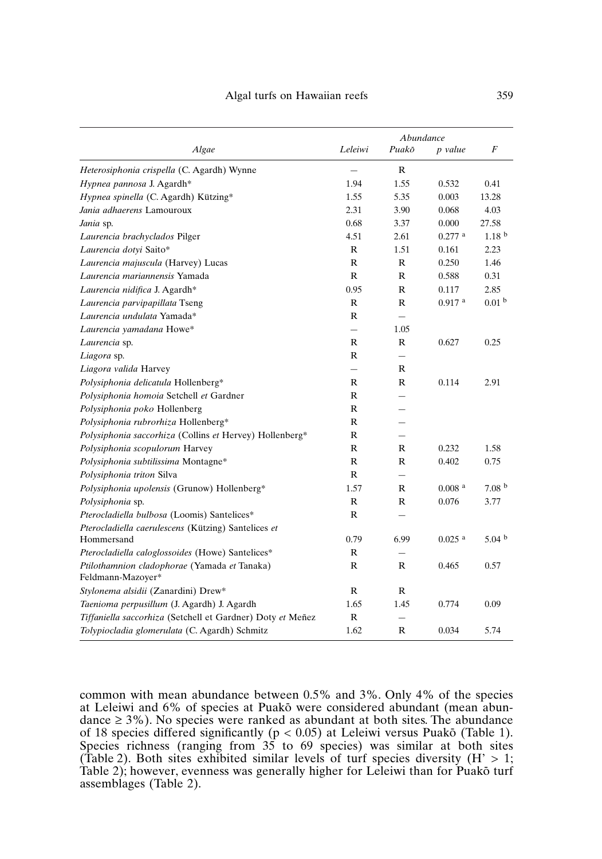|                                                                   | Abundance                |                          |                      |                   |
|-------------------------------------------------------------------|--------------------------|--------------------------|----------------------|-------------------|
| Algae                                                             | Leleiwi                  | Puakō                    | p value              | F                 |
| Heterosiphonia crispella (C. Agardh) Wynne                        |                          | R                        |                      |                   |
| Hypnea pannosa J. Agardh*                                         | 1.94                     | 1.55                     | 0.532                | 0.41              |
| Hypnea spinella (C. Agardh) Kützing*                              | 1.55                     | 5.35                     | 0.003                | 13.28             |
| Jania adhaerens Lamouroux                                         | 2.31                     | 3.90                     | 0.068                | 4.03              |
| Jania sp.                                                         | 0.68                     | 3.37                     | $0.000\,$            | 27.58             |
| Laurencia brachyclados Pilger                                     | 4.51                     | 2.61                     | $0.277$ a            | 1.18 <sup>b</sup> |
| Laurencia dotyi Saito*                                            | R                        | 1.51                     | 0.161                | 2.23              |
| Laurencia majuscula (Harvey) Lucas                                | R                        | R                        | 0.250                | 1.46              |
| Laurencia mariannensis Yamada                                     | R                        | R                        | 0.588                | 0.31              |
| Laurencia nidifica J. Agardh*                                     | 0.95                     | R                        | 0.117                | 2.85              |
| Laurencia parvipapillata Tseng                                    | R                        | R                        | $0.917$ <sup>a</sup> | 0.01 <sup>b</sup> |
| Laurencia undulata Yamada*                                        | R                        | $\overline{\phantom{0}}$ |                      |                   |
| Laurencia yamadana Howe*                                          | $\overline{\phantom{0}}$ | 1.05                     |                      |                   |
| Laurencia sp.                                                     | R                        | R                        | 0.627                | 0.25              |
| Liagora sp.                                                       | R                        | $\overline{\phantom{0}}$ |                      |                   |
| Liagora valida Harvey                                             | $\equiv$                 | R                        |                      |                   |
| Polysiphonia delicatula Hollenberg*                               | R                        | R                        | 0.114                | 2.91              |
| Polysiphonia homoia Setchell et Gardner                           | R                        |                          |                      |                   |
| Polysiphonia poko Hollenberg                                      | R                        |                          |                      |                   |
| Polysiphonia rubrorhiza Hollenberg*                               | R                        |                          |                      |                   |
| Polysiphonia saccorhiza (Collins et Hervey) Hollenberg*           | R                        |                          |                      |                   |
| Polysiphonia scopulorum Harvey                                    | R                        | R                        | 0.232                | 1.58              |
| Polysiphonia subtilissima Montagne*                               | R                        | R                        | 0.402                | 0.75              |
| Polysiphonia triton Silva                                         | R                        |                          |                      |                   |
| Polysiphonia upolensis (Grunow) Hollenberg*                       | 1.57                     | R                        | 0.008 <sup>a</sup>   | 7.08 <sup>b</sup> |
| Polysiphonia sp.                                                  | R                        | R                        | 0.076                | 3.77              |
| Pterocladiella bulbosa (Loomis) Santelices*                       | R                        | $\overline{\phantom{0}}$ |                      |                   |
| Pterocladiella caerulescens (Kützing) Santelices et               |                          |                          |                      |                   |
| Hommersand                                                        | 0.79                     | 6.99                     | $0.025$ <sup>a</sup> | 5.04 <sup>b</sup> |
| Pterocladiella caloglossoides (Howe) Santelices*                  | R                        | $\overline{\phantom{0}}$ |                      |                   |
| Ptilothamnion cladophorae (Yamada et Tanaka)<br>Feldmann-Mazoyer* | R                        | R                        | 0.465                | 0.57              |
| Stylonema alsidii (Zanardini) Drew*                               | R                        | R                        |                      |                   |
| Taenioma perpusillum (J. Agardh) J. Agardh                        | 1.65                     | 1.45                     | 0.774                | 0.09              |
| Tiffaniella saccorhiza (Setchell et Gardner) Doty et Meñez        | R                        | $\overline{\phantom{0}}$ |                      |                   |
| Tolypiocladia glomerulata (C. Agardh) Schmitz                     | 1.62                     | $\mathbb{R}$             | 0.034                | 5.74              |

common with mean abundance between 0.5% and 3%. Only 4% of the species at Leleiwi and 6% of species at Puako were considered abundant (mean abundance  $\geq$  3%). No species were ranked as abundant at both sites. The abundance of 18 species differed significantly  $(p < 0.05)$  at Leleiwi versus Puakō (Table 1). Species richness (ranging from 35 to 69 species) was similar at both sites (Table 2). Both sites exhibited similar levels of turf species diversity  $(H' > 1;$ Table 2); however, evenness was generally higher for Leleiwi than for Puako turf assemblages (Table 2).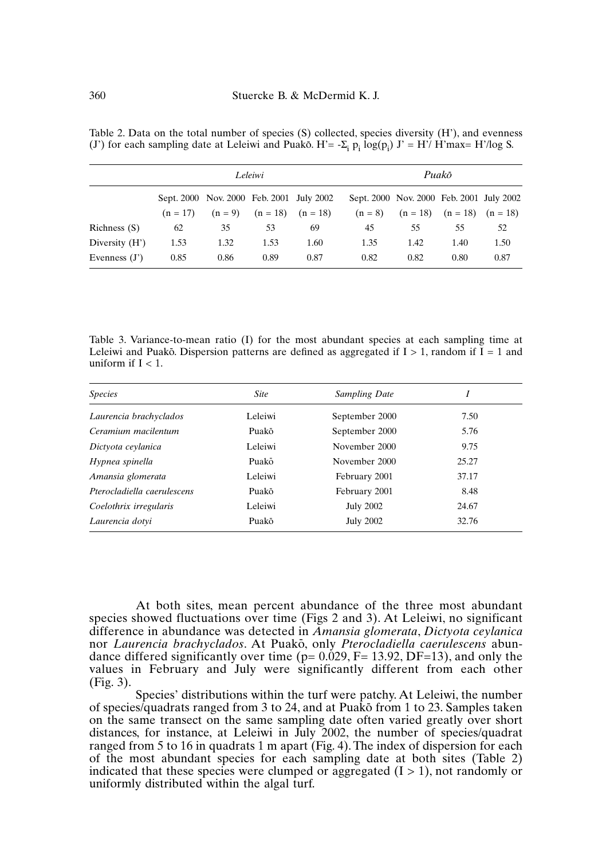Table 2. Data on the total number of species (S) collected, species diversity (H'), and evenness (J') for each sampling date at Leleiwi and Puako.  $H' = -\sum_i p_i \log(p_i) J' = H'/H'max = H'/\log S$ .

|                  | Leleiwi |                                            |      | Puakō |                                          |      |                                  |      |
|------------------|---------|--------------------------------------------|------|-------|------------------------------------------|------|----------------------------------|------|
|                  |         | Sept. 2000 Nov. 2000 Feb. 2001 July 2002   |      |       | Sept. 2000 Nov. 2000 Feb. 2001 July 2002 |      |                                  |      |
|                  |         | $(n = 17)$ $(n = 9)$ $(n = 18)$ $(n = 18)$ |      |       | $(n = 8)$                                |      | $(n = 18)$ $(n = 18)$ $(n = 18)$ |      |
| Richness $(S)$   | 62      | 35                                         | 53   | 69    | 45                                       | 55   | 55                               | 52   |
| Diversity $(H')$ | 1.53    | 1.32                                       | 1.53 | 1.60  | 1.35                                     | 1.42 | 1.40                             | 1.50 |
| Evenness $(J')$  | 0.85    | 0.86                                       | 0.89 | 0.87  | 0.82                                     | 0.82 | 0.80                             | 0.87 |

Table 3. Variance-to-mean ratio (I) for the most abundant species at each sampling time at Leleiwi and Puakō. Dispersion patterns are defined as aggregated if  $I > 1$ , random if  $\overline{I} = 1$  and uniform if  $I < 1$ .

| <i>Species</i>              | <b>Site</b> | <b>Sampling Date</b> |       |
|-----------------------------|-------------|----------------------|-------|
| Laurencia brachyclados      | Leleiwi     | September 2000       | 7.50  |
| Ceramium macilentum         | Puakō       | September 2000       | 5.76  |
| Dictyota ceylanica          | Leleiwi     | November 2000        | 9.75  |
| Hypnea spinella             | Puakō       | November 2000        | 25.27 |
| Amansia glomerata           | Leleiwi     | February 2001        | 37.17 |
| Pterocladiella caerulescens | Puakō       | February 2001        | 8.48  |
| Coelothrix irregularis      | Leleiwi     | <b>July 2002</b>     | 24.67 |
| Laurencia dotvi             | Puakō       | <b>July 2002</b>     | 32.76 |

At both sites, mean percent abundance of the three most abundant species showed fluctuations over time (Figs 2 and 3). At Leleiwi, no significant difference in abundance was detected in *Amansia glomerata*, *Dictyota ceylanica* nor *Laurencia brachyclados*. At Puak-o, only *Pterocladiella caerulescens* abundance differed significantly over time ( $p= 0.029$ ,  $F= 13.92$ ,  $DF=13$ ), and only the values in February and July were significantly different from each other (Fig. 3).

Species' distributions within the turf were patchy. At Leleiwi, the number of species/quadrats ranged from 3 to 24, and at Puako from 1 to 23. Samples taken on the same transect on the same sampling date often varied greatly over short distances, for instance, at Leleiwi in July 2002, the number of species/quadrat ranged from 5 to 16 in quadrats 1 m apart (Fig. 4). The index of dispersion for each of the most abundant species for each sampling date at both sites (Table 2) indicated that these species were clumped or aggregated  $(I > 1)$ , not randomly or uniformly distributed within the algal turf.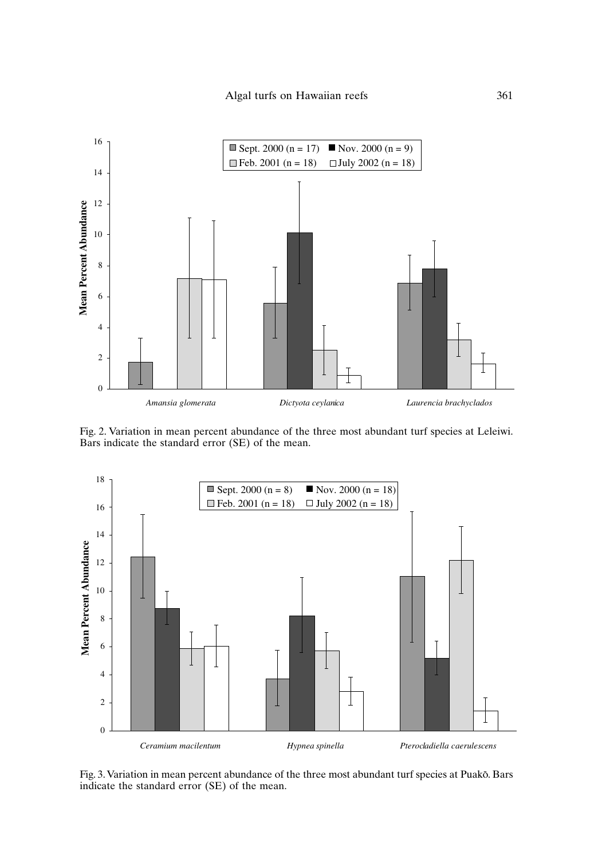

Fig. 2. Variation in mean percent abundance of the three most abundant turf species at Leleiwi. Bars indicate the standard error (SE) of the mean.



Fig. 3. Variation in mean percent abundance of the three most abundant turf species at Puakō. Bars indicate the standard error (SE) of the mean.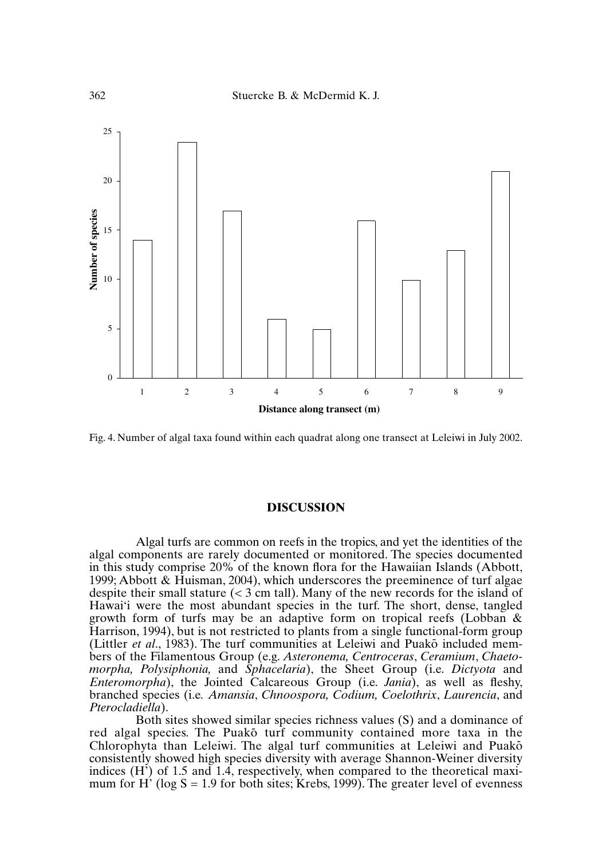

Fig. 4. Number of algal taxa found within each quadrat along one transect at Leleiwi in July 2002.

### **DISCUSSION**

Algal turfs are common on reefs in the tropics, and yet the identities of the algal components are rarely documented or monitored. The species documented in this study comprise 20% of the known flora for the Hawaiian Islands (Abbott, 1999; Abbott & Huisman, 2004), which underscores the preeminence of turf algae despite their small stature  $\ll$  3 cm tall). Many of the new records for the island of Hawai'i were the most abundant species in the turf. The short, dense, tangled growth form of turfs may be an adaptive form on tropical reefs (Lobban & Harrison, 1994), but is not restricted to plants from a single functional-form group (Littler *et al.*, 1983). The turf communities at Leleiwi and Puakō included members of the Filamentous Group (e.g. *Asteronema, Centroceras*, *Ceramium*, *Chaetomorpha, Polysiphonia,* and *Sphacelaria*), the Sheet Group (i.e. *Dictyota* and *Enteromorpha*), the Jointed Calcareous Group (i.e. *Jania*), as well as fleshy, branched species (i.e*. Amansia*, *Chnoospora, Codium, Coelothrix*, *Laurencia*, and *Pterocladiella*).

Both sites showed similar species richness values (S) and a dominance of red algal species. The Puako turf community contained more taxa in the Chlorophyta than Leleiwi. The algal turf communities at Leleiwi and Puak-o consistently showed high species diversity with average Shannon-Weiner diversity indices (H') of 1.5 and 1.4, respectively, when compared to the theoretical maximum for H' (log  $S = 1.9$  for both sites; Krebs, 1999). The greater level of evenness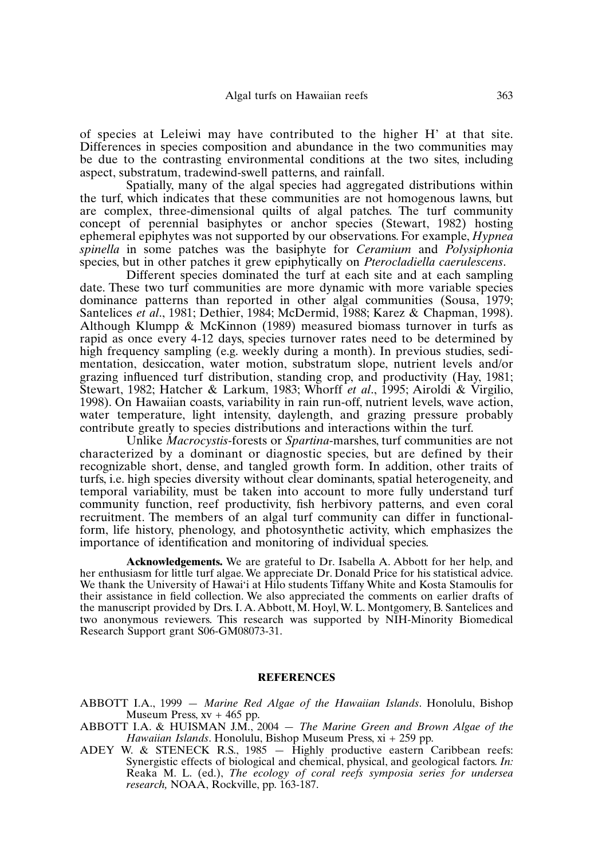of species at Leleiwi may have contributed to the higher H' at that site. Differences in species composition and abundance in the two communities may be due to the contrasting environmental conditions at the two sites, including aspect, substratum, tradewind-swell patterns, and rainfall.

Spatially, many of the algal species had aggregated distributions within the turf, which indicates that these communities are not homogenous lawns, but are complex, three-dimensional quilts of algal patches. The turf community concept of perennial basiphytes or anchor species (Stewart, 1982) hosting ephemeral epiphytes was not supported by our observations. For example, *Hypnea spinella* in some patches was the basiphyte for *Ceramium* and *Polysiphonia* species, but in other patches it grew epiphytically on *Pterocladiella caerulescens*.

Different species dominated the turf at each site and at each sampling date. These two turf communities are more dynamic with more variable species dominance patterns than reported in other algal communities (Sousa, 1979; Santelices *et al*., 1981; Dethier, 1984; McDermid, 1988; Karez & Chapman, 1998). Although Klumpp & McKinnon (1989) measured biomass turnover in turfs as rapid as once every 4-12 days, species turnover rates need to be determined by high frequency sampling (e.g. weekly during a month). In previous studies, sedimentation, desiccation, water motion, substratum slope, nutrient levels and/or grazing influenced turf distribution, standing crop, and productivity (Hay, 1981; Stewart, 1982; Hatcher & Larkum, 1983; Whorff *et al*., 1995; Airoldi & Virgilio, 1998). On Hawaiian coasts, variability in rain run-off, nutrient levels, wave action, water temperature, light intensity, daylength, and grazing pressure probably contribute greatly to species distributions and interactions within the turf.

Unlike *Macrocystis*-forests or *Spartina*-marshes, turf communities are not characterized by a dominant or diagnostic species, but are defined by their recognizable short, dense, and tangled growth form. In addition, other traits of turfs, i.e. high species diversity without clear dominants, spatial heterogeneity, and temporal variability, must be taken into account to more fully understand turf community function, reef productivity, fish herbivory patterns, and even coral recruitment. The members of an algal turf community can differ in functionalform, life history, phenology, and photosynthetic activity, which emphasizes the importance of identification and monitoring of individual species.

**Acknowledgements.** We are grateful to Dr. Isabella A. Abbott for her help, and her enthusiasm for little turf algae. We appreciate Dr. Donald Price for his statistical advice. We thank the University of Hawai'i at Hilo students Tiffany White and Kosta Stamoulis for their assistance in field collection. We also appreciated the comments on earlier drafts of the manuscript provided by Drs. I. A. Abbott, M. Hoyl, W. L. Montgomery, B. Santelices and two anonymous reviewers. This research was supported by NIH-Minority Biomedical Research Support grant S06-GM08073-31.

### **REFERENCES**

ABBOTT I.A., 1999 — *Marine Red Algae of the Hawaiian Islands*. Honolulu, Bishop Museum Press, xv + 465 pp.

- ABBOTT I.A. & HUISMAN J.M., 2004 *The Marine Green and Brown Algae of the Hawaiian Islands*. Honolulu, Bishop Museum Press, xi + 259 pp.
- ADEY W. & STENECK R.S., 1985  $-$  Highly productive eastern Caribbean reefs: Synergistic effects of biological and chemical, physical, and geological factors. *In:* Reaka M. L. (ed.), *The ecology of coral reefs symposia series for undersea research,* NOAA, Rockville, pp. 163-187.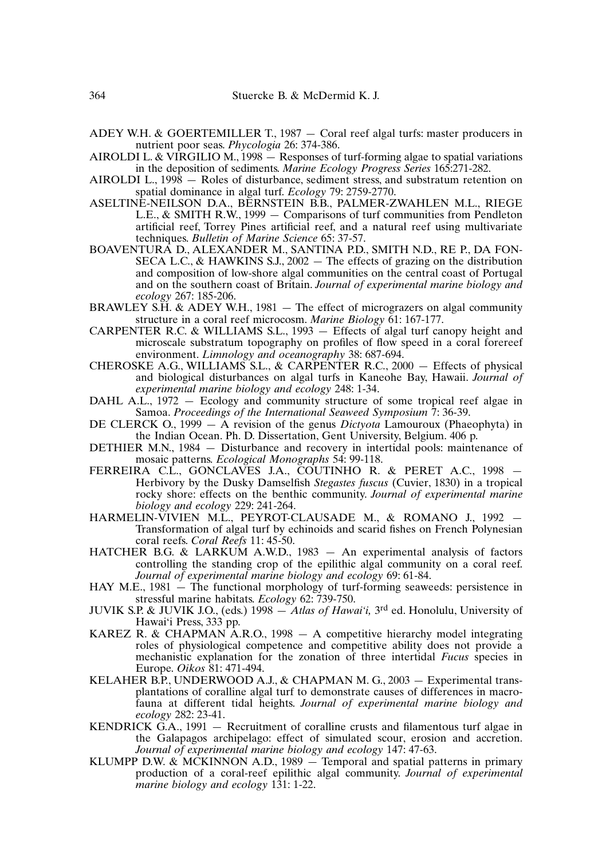- ADEY W.H. & GOERTEMILLER T., 1987 Coral reef algal turfs: master producers in nutrient poor seas. *Phycologia* 26: 374-386.
- AIROLDI L. & VIRGILIO M., 1998 Responses of turf-forming algae to spatial variations in the deposition of sediments. *Marine Ecology Progress Series* 165:271-282.
- AIROLDI L., 1998 Roles of disturbance, sediment stress, and substratum retention on spatial dominance in algal turf. *Ecology* 79: 2759-2770.
- ASELTINE-NEILSON D.A., BERNSTEIN B.B., PALMER-ZWAHLEN M.L., RIEGE L.E., & SMITH R.W., 1999 — Comparisons of turf communities from Pendleton artificial reef, Torrey Pines artificial reef, and a natural reef using multivariate techniques. *Bulletin of Marine Science* 65: 37-57.
- BOAVENTURA D., ALEXANDER M., SANTINA P.D., SMITH N.D., RE P., DA FON-SECA L.C., & HAWKINS S.J., 2002 — The effects of grazing on the distribution and composition of low-shore algal communities on the central coast of Portugal and on the southern coast of Britain. *Journal of experimental marine biology and ecology* 267: 185-206.
- BRAWLEY S.H. & ADEY W.H., 1981 The effect of micrograzers on algal community structure in a coral reef microcosm. *Marine Biology* 61: 167-177.
- CARPENTER R.C. & WILLIAMS S.L., 1993 Effects of algal turf canopy height and microscale substratum topography on profiles of flow speed in a coral forereef environment. *Limnology and oceanography* 38: 687-694.
- CHEROSKE A.G., WILLIAMS S.L., & CARPENTER R.C., 2000 Effects of physical and biological disturbances on algal turfs in Kaneohe Bay, Hawaii. *Journal of experimental marine biology and ecology* 248: 1-34.
- DAHL A.L., 1972 Ecology and community structure of some tropical reef algae in Samoa. *Proceedings of the International Seaweed Symposium* 7: 36-39.
- DE CLERCK O., 1999 A revision of the genus *Dictyota* Lamouroux (Phaeophyta) in the Indian Ocean. Ph. D. Dissertation, Gent University, Belgium. 406 p.
- DETHIER M.N., 1984 Disturbance and recovery in intertidal pools: maintenance of mosaic patterns. *Ecological Monographs* 54: 99-118.
- FERREIRA C.L., GONCLAVES J.A., COUTINHO R. & PERET A.C., 1998 Herbivory by the Dusky Damselfish *Stegastes fuscus* (Cuvier, 1830) in a tropical rocky shore: effects on the benthic community. *Journal of experimental marine biology and ecology* 229: 241-264.
- HARMELIN-VIVIEN M.L., PEYROT-CLAUSADE M., & ROMANO J., 1992 Transformation of algal turf by echinoids and scarid fishes on French Polynesian coral reefs. *Coral Reefs* 11: 45-50.
- HATCHER B.G. & LARKUM A.W.D., 1983 An experimental analysis of factors controlling the standing crop of the epilithic algal community on a coral reef. *Journal of experimental marine biology and ecology* 69: 61-84.
- HAY M.E., 1981 The functional morphology of turf-forming seaweeds: persistence in stressful marine habitats. *Ecology* 62: 739-750.
- JUVIK S.P. & JUVIK J.O., (eds.) 1998 *Atlas of Hawai'i,* 3rd ed. Honolulu, University of Hawai'i Press, 333 pp.
- KAREZ R. & CHAPMAN A.R.O., 1998 A competitive hierarchy model integrating roles of physiological competence and competitive ability does not provide a mechanistic explanation for the zonation of three intertidal *Fucus* species in Europe. *Oikos* 81: 471-494.
- KELAHER B.P., UNDERWOOD A.J., & CHAPMAN M. G., 2003 Experimental transplantations of coralline algal turf to demonstrate causes of differences in macrofauna at different tidal heights. *Journal of experimental marine biology and ecology* 282: 23-41.
- KENDRICK G.A., 1991 Recruitment of coralline crusts and filamentous turf algae in the Galapagos archipelago: effect of simulated scour, erosion and accretion. *Journal of experimental marine biology and ecology* 147: 47-63.
- KLUMPP D.W.  $\&$  MCKINNON A.D., 1989  $-$  Temporal and spatial patterns in primary production of a coral-reef epilithic algal community. *Journal of experimental marine biology and ecology* 131: 1-22.